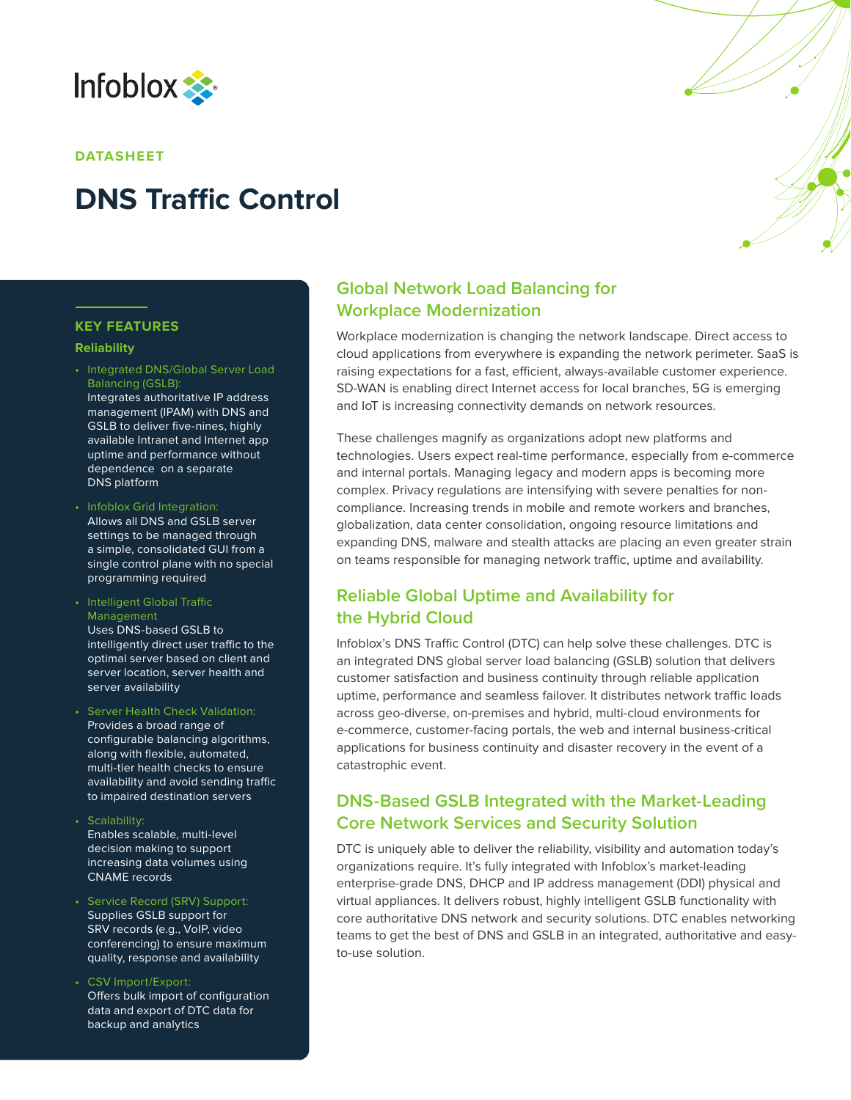

#### **DATASHEET**

# **DNS Traffic Control**

#### **KEY FEATURES**

#### **Reliability**

- Integrated DNS/Global Server Load Balancing (GSLB): Integrates authoritative IP address management (IPAM) with DNS and GSLB to deliver five-nines, highly available Intranet and Internet app uptime and performance without dependence on a separate DNS platform
- Infoblox Grid Integration: Allows all DNS and GSLB server settings to be managed through a simple, consolidated GUI from a single control plane with no special programming required
- Intelligent Global Traffic Management Uses DNS-based GSLB to intelligently direct user traffic to the optimal server based on client and server location, server health and server availability
- Server Health Check Validation: Provides a broad range of configurable balancing algorithms, along with flexible, automated, multi-tier health checks to ensure availability and avoid sending traffic to impaired destination servers
- Scalability:
- Enables scalable, multi-level decision making to support increasing data volumes using CNAME records
- Service Record (SRV) Support: Supplies GSLB support for SRV records (e.g., VoIP, video conferencing) to ensure maximum quality, response and availability
- CSV Import/Export: Offers bulk import of configuration data and export of DTC data for backup and analytics

# **Global Network Load Balancing for Workplace Modernization**

Workplace modernization is changing the network landscape. Direct access to cloud applications from everywhere is expanding the network perimeter. SaaS is raising expectations for a fast, efficient, always-available customer experience. SD-WAN is enabling direct Internet access for local branches, 5G is emerging and IoT is increasing connectivity demands on network resources.

These challenges magnify as organizations adopt new platforms and technologies. Users expect real-time performance, especially from e-commerce and internal portals. Managing legacy and modern apps is becoming more complex. Privacy regulations are intensifying with severe penalties for noncompliance. Increasing trends in mobile and remote workers and branches, globalization, data center consolidation, ongoing resource limitations and expanding DNS, malware and stealth attacks are placing an even greater strain on teams responsible for managing network traffic, uptime and availability.

# **Reliable Global Uptime and Availability for the Hybrid Cloud**

Infoblox's DNS Traffic Control (DTC) can help solve these challenges. DTC is an integrated DNS global server load balancing (GSLB) solution that delivers customer satisfaction and business continuity through reliable application uptime, performance and seamless failover. It distributes network traffic loads across geo-diverse, on-premises and hybrid, multi-cloud environments for e-commerce, customer-facing portals, the web and internal business-critical applications for business continuity and disaster recovery in the event of a catastrophic event.

# **DNS-Based GSLB Integrated with the Market-Leading Core Network Services and Security Solution**

DTC is uniquely able to deliver the reliability, visibility and automation today's organizations require. It's fully integrated with Infoblox's market-leading enterprise-grade DNS, DHCP and IP address management (DDI) physical and virtual appliances. It delivers robust, highly intelligent GSLB functionality with core authoritative DNS network and security solutions. DTC enables networking teams to get the best of DNS and GSLB in an integrated, authoritative and easyto-use solution.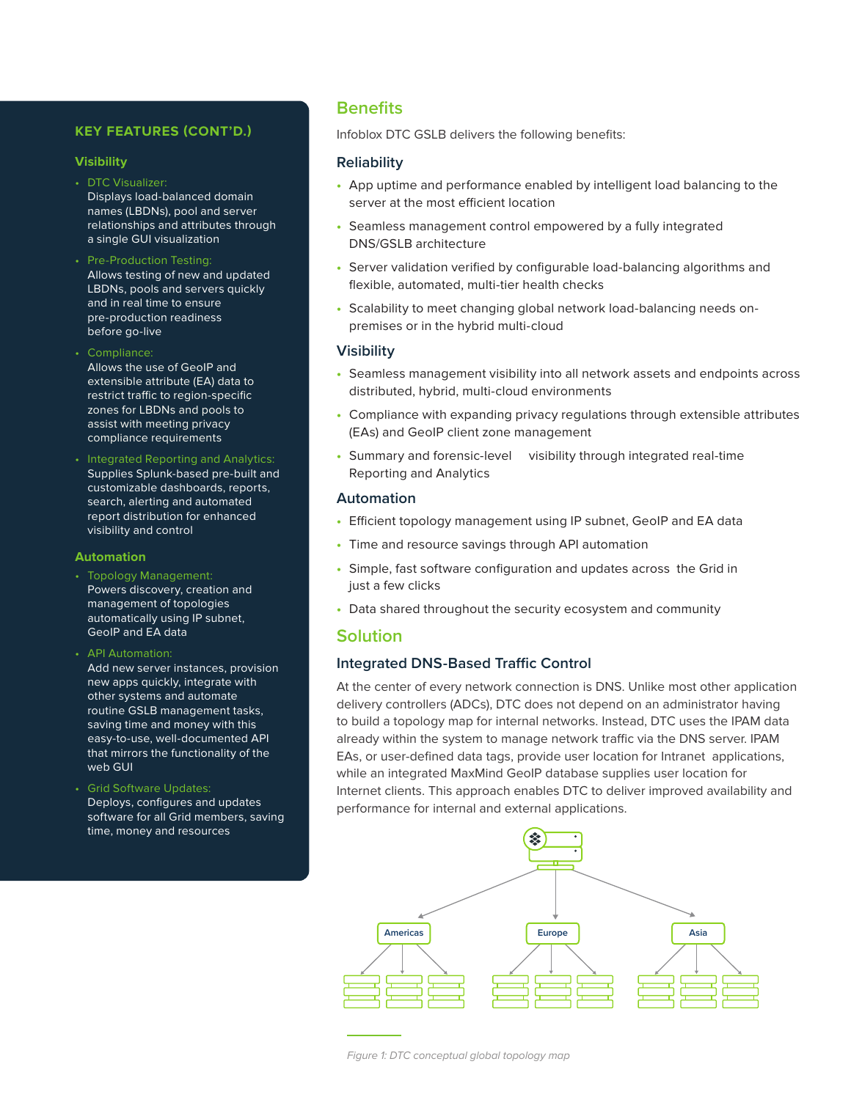#### **KEY FEATURES (CONT'D.)**

#### **Visibility**

- DTC Visualizer: Displays load-balanced domain names (LBDNs), pool and server relationships and attributes through a single GUI visualization
- Pre-Production Testing: Allows testing of new and updated LBDNs, pools and servers quickly and in real time to ensure pre-production readiness before go-live
- Compliance: Allows the use of GeoIP and extensible attribute (EA) data to restrict traffic to region-specific zones for LBDNs and pools to assist with meeting privacy compliance requirements
- Integrated Reporting and Analytics: Supplies Splunk-based pre-built and customizable dashboards, reports, search, alerting and automated report distribution for enhanced visibility and control

#### **Automation**

- Topology Management: Powers discovery, creation and management of topologies automatically using IP subnet, GeoIP and EA data
- API Automation: Add new server instances, provision
- new apps quickly, integrate with other systems and automate routine GSLB management tasks, saving time and money with this easy-to-use, well-documented API that mirrors the functionality of the web GUI
- Grid Software Updates: Deploys, configures and updates software for all Grid members, saving time, money and resources

# **Benefits**

Infoblox DTC GSLB delivers the following benefits:

#### **Reliability**

- **•** App uptime and performance enabled by intelligent load balancing to the server at the most efficient location
- **•** Seamless management control empowered by a fully integrated DNS/GSLB architecture
- **•** Server validation verified by configurable load-balancing algorithms and flexible, automated, multi-tier health checks
- **•** Scalability to meet changing global network load-balancing needs onpremises or in the hybrid multi-cloud

#### **Visibility**

- **•** Seamless management visibility into all network assets and endpoints across distributed, hybrid, multi-cloud environments
- **•** Compliance with expanding privacy regulations through extensible attributes (EAs) and GeoIP client zone management
- **•** Summary and forensic-level visibility through integrated real-time Reporting and Analytics

#### **Automation**

- **•** Efficient topology management using IP subnet, GeoIP and EA data
- **•** Time and resource savings through API automation
- **•** Simple, fast software configuration and updates across the Grid in just a few clicks
- **•** Data shared throughout the security ecosystem and community

# **Solution**

#### **Integrated DNS-Based Traffic Control**

At the center of every network connection is DNS. Unlike most other application delivery controllers (ADCs), DTC does not depend on an administrator having to build a topology map for internal networks. Instead, DTC uses the IPAM data already within the system to manage network traffic via the DNS server. IPAM EAs, or user-defined data tags, provide user location for Intranet applications, while an integrated MaxMind GeoIP database supplies user location for Internet clients. This approach enables DTC to deliver improved availability and performance for internal and external applications.

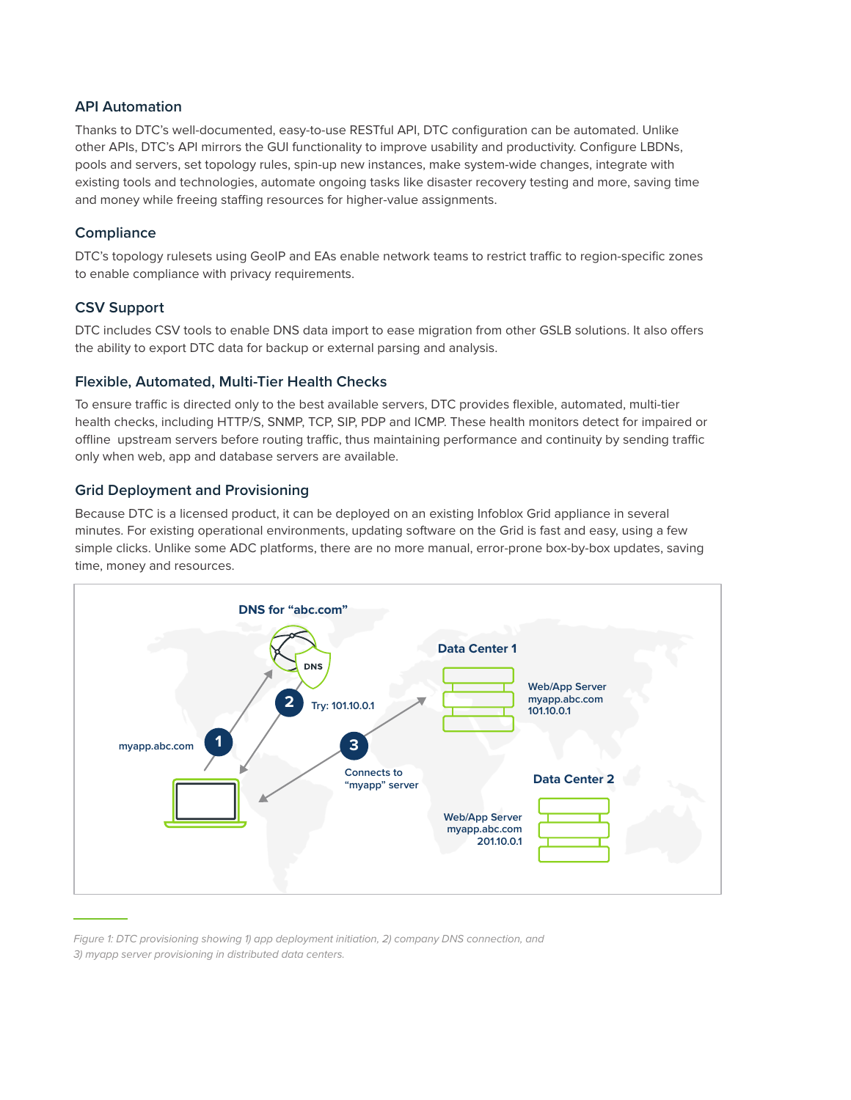## **API Automation**

Thanks to DTC's well-documented, easy-to-use RESTful API, DTC configuration can be automated. Unlike other APIs, DTC's API mirrors the GUI functionality to improve usability and productivity. Configure LBDNs, pools and servers, set topology rules, spin-up new instances, make system-wide changes, integrate with existing tools and technologies, automate ongoing tasks like disaster recovery testing and more, saving time and money while freeing staffing resources for higher-value assignments.

## **Compliance**

DTC's topology rulesets using GeoIP and EAs enable network teams to restrict traffic to region-specific zones to enable compliance with privacy requirements.

## **CSV Support**

DTC includes CSV tools to enable DNS data import to ease migration from other GSLB solutions. It also offers the ability to export DTC data for backup or external parsing and analysis.

#### **Flexible, Automated, Multi-Tier Health Checks**

To ensure traffic is directed only to the best available servers, DTC provides flexible, automated, multi-tier health checks, including HTTP/S, SNMP, TCP, SIP, PDP and ICMP. These health monitors detect for impaired or offline upstream servers before routing traffic, thus maintaining performance and continuity by sending traffic only when web, app and database servers are available.

## **Grid Deployment and Provisioning**

Because DTC is a licensed product, it can be deployed on an existing Infoblox Grid appliance in several minutes. For existing operational environments, updating software on the Grid is fast and easy, using a few simple clicks. Unlike some ADC platforms, there are no more manual, error-prone box-by-box updates, saving time, money and resources.



*Figure 1: DTC provisioning showing 1) app deployment initiation, 2) company DNS connection, and 3) myapp server provisioning in distributed data centers.*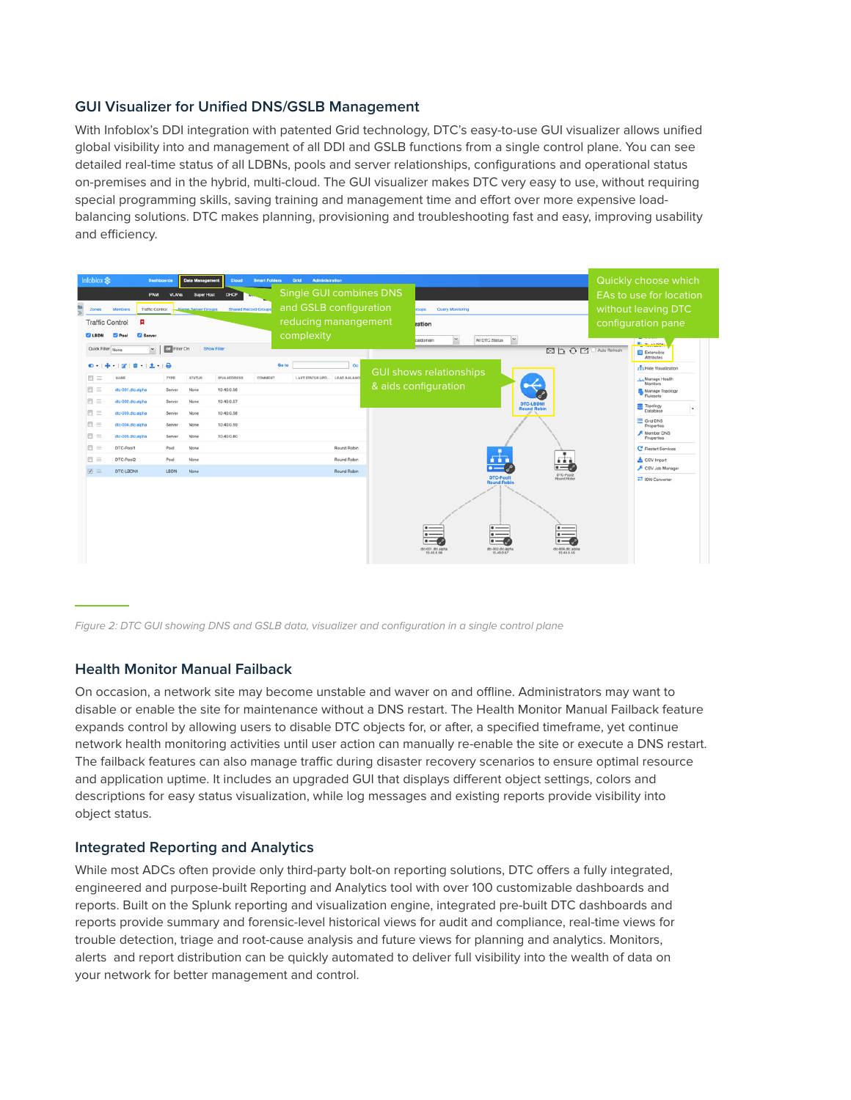## **GUI Visualizer for Unified DNS/GSLB Management**

With Infoblox's DDI integration with patented Grid technology, DTC's easy-to-use GUI visualizer allows unified global visibility into and management of all DDI and GSLB functions from a single control plane. You can see detailed real-time status of all LDBNs, pools and server relationships, configurations and operational status on-premises and in the hybrid, multi-cloud. The GUI visualizer makes DTC very easy to use, without requiring special programming skills, saving training and management time and effort over more expensive loadbalancing solutions. DTC makes planning, provisioning and troubleshooting fast and easy, improving usability and efficiency.



*Figure 2: DTC GUI showing DNS and GSLB data, visualizer and configuration in a single control plane*

#### **Health Monitor Manual Failback**

On occasion, a network site may become unstable and waver on and offline. Administrators may want to disable or enable the site for maintenance without a DNS restart. The Health Monitor Manual Failback feature expands control by allowing users to disable DTC objects for, or after, a specified timeframe, yet continue network health monitoring activities until user action can manually re-enable the site or execute a DNS restart. The failback features can also manage traffic during disaster recovery scenarios to ensure optimal resource and application uptime. It includes an upgraded GUI that displays different object settings, colors and descriptions for easy status visualization, while log messages and existing reports provide visibility into object status.

#### **Integrated Reporting and Analytics**

While most ADCs often provide only third-party bolt-on reporting solutions, DTC offers a fully integrated, engineered and purpose-built Reporting and Analytics tool with over 100 customizable dashboards and reports. Built on the Splunk reporting and visualization engine, integrated pre-built DTC dashboards and reports provide summary and forensic-level historical views for audit and compliance, real-time views for trouble detection, triage and root-cause analysis and future views for planning and analytics. Monitors, alerts and report distribution can be quickly automated to deliver full visibility into the wealth of data on your network for better management and control.